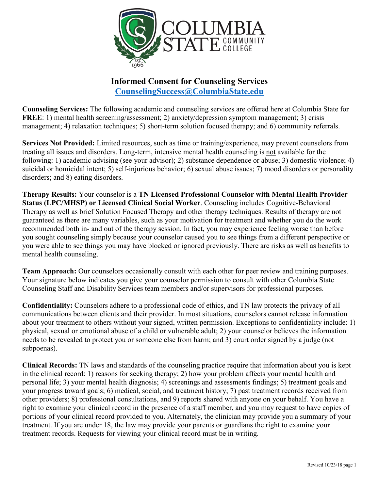

## **Informed Consent for Counseling Services [CounselingSuccess@ColumbiaState.edu](mailto:CounselingSuccess@ColumbiaState.edu)**

**Counseling Services:** The following academic and counseling services are offered here at Columbia State for **FREE**: 1) mental health screening/assessment; 2) anxiety/depression symptom management; 3) crisis management; 4) relaxation techniques; 5) short-term solution focused therapy; and 6) community referrals.

**Services Not Provided:** Limited resources, such as time or training/experience, may prevent counselors from treating all issues and disorders. Long-term, intensive mental health counseling is not available for the following: 1) academic advising (see your advisor); 2) substance dependence or abuse; 3) domestic violence; 4) suicidal or homicidal intent; 5) self-injurious behavior; 6) sexual abuse issues; 7) mood disorders or personality disorders; and 8) eating disorders.

**Therapy Results:** Your counselor is a **TN Licensed Professional Counselor with Mental Health Provider Status (LPC/MHSP) or Licensed Clinical Social Worker**. Counseling includes Cognitive-Behavioral Therapy as well as brief Solution Focused Therapy and other therapy techniques. Results of therapy are not guaranteed as there are many variables, such as your motivation for treatment and whether you do the work recommended both in- and out of the therapy session. In fact, you may experience feeling worse than before you sought counseling simply because your counselor caused you to see things from a different perspective or you were able to see things you may have blocked or ignored previously. There are risks as well as benefits to mental health counseling.

**Team Approach:** Our counselors occasionally consult with each other for peer review and training purposes. Your signature below indicates you give your counselor permission to consult with other Columbia State Counseling Staff and Disability Services team members and/or supervisors for professional purposes.

**Confidentiality:** Counselors adhere to a professional code of ethics, and TN law protects the privacy of all communications between clients and their provider. In most situations, counselors cannot release information about your treatment to others without your signed, written permission. Exceptions to confidentiality include: 1) physical, sexual or emotional abuse of a child or vulnerable adult; 2) your counselor believes the information needs to be revealed to protect you or someone else from harm; and 3) court order signed by a judge (not subpoenas).

**Clinical Records:** TN laws and standards of the counseling practice require that information about you is kept in the clinical record: 1) reasons for seeking therapy; 2) how your problem affects your mental health and personal life; 3) your mental health diagnosis; 4) screenings and assessments findings; 5) treatment goals and your progress toward goals; 6) medical, social, and treatment history; 7) past treatment records received from other providers; 8) professional consultations, and 9) reports shared with anyone on your behalf. You have a right to examine your clinical record in the presence of a staff member, and you may request to have copies of portions of your clinical record provided to you. Alternately, the clinician may provide you a summary of your treatment. If you are under 18, the law may provide your parents or guardians the right to examine your treatment records. Requests for viewing your clinical record must be in writing.